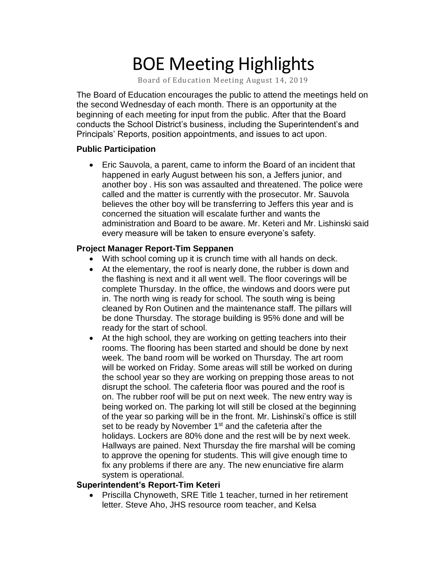# BOE Meeting Highlights

Board of Education Meeting August 14, 2019

 The Board of Education encourages the public to attend the meetings held on the second Wednesday of each month. There is an opportunity at the beginning of each meeting for input from the public. After that the Board conducts the School District's business, including the Superintendent's and Principals' Reports, position appointments, and issues to act upon.

### **Public Participation**

 • Eric Sauvola, a parent, came to inform the Board of an incident that happened in early August between his son, a Jeffers junior, and another boy . His son was assaulted and threatened. The police were called and the matter is currently with the prosecutor. Mr. Sauvola believes the other boy will be transferring to Jeffers this year and is concerned the situation will escalate further and wants the administration and Board to be aware. Mr. Keteri and Mr. Lishinski said every measure will be taken to ensure everyone's safety.

### **Project Manager Report-Tim Seppanen**

- With school coming up it is crunch time with all hands on deck.
- At the elementary, the roof is nearly done, the rubber is down and the flashing is next and it all went well. The floor coverings will be complete Thursday. In the office, the windows and doors were put in. The north wing is ready for school. The south wing is being cleaned by Ron Outinen and the maintenance staff. The pillars will be done Thursday. The storage building is 95% done and will be ready for the start of school.
- At the high school, they are working on getting teachers into their rooms. The flooring has been started and should be done by next week. The band room will be worked on Thursday. The art room will be worked on Friday. Some areas will still be worked on during the school year so they are working on prepping those areas to not disrupt the school. The cafeteria floor was poured and the roof is on. The rubber roof will be put on next week. The new entry way is being worked on. The parking lot will still be closed at the beginning of the year so parking will be in the front. Mr. Lishinski's office is still set to be ready by November 1<sup>st</sup> and the cafeteria after the holidays. Lockers are 80% done and the rest will be by next week. Hallways are pained. Next Thursday the fire marshal will be coming to approve the opening for students. This will give enough time to fix any problems if there are any. The new enunciative fire alarm system is operational.

## **Superintendent's Report-Tim Keteri**

• Priscilla Chynoweth, SRE Title 1 teacher, turned in her retirement letter. Steve Aho, JHS resource room teacher, and Kelsa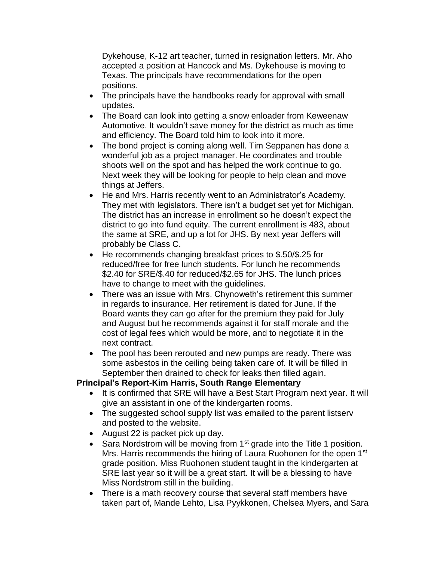Dykehouse, K-12 art teacher, turned in resignation letters. Mr. Aho accepted a position at Hancock and Ms. Dykehouse is moving to Texas. The principals have recommendations for the open positions.

- The principals have the handbooks ready for approval with small updates.
- The Board can look into getting a snow enloader from Keweenaw Automotive. It wouldn't save money for the district as much as time and efficiency. The Board told him to look into it more.
- The bond project is coming along well. Tim Seppanen has done a wonderful job as a project manager. He coordinates and trouble shoots well on the spot and has helped the work continue to go. Next week they will be looking for people to help clean and move things at Jeffers.
- He and Mrs. Harris recently went to an Administrator's Academy. They met with legislators. There isn't a budget set yet for Michigan. The district has an increase in enrollment so he doesn't expect the district to go into fund equity. The current enrollment is 483, about the same at SRE, and up a lot for JHS. By next year Jeffers will probably be Class C.
- He recommends changing breakfast prices to \$.50/\$.25 for reduced/free for free lunch students. For lunch he recommends \$2.40 for SRE/\$.40 for reduced/\$2.65 for JHS. The lunch prices have to change to meet with the guidelines.
- There was an issue with Mrs. Chynoweth's retirement this summer in regards to insurance. Her retirement is dated for June. If the Board wants they can go after for the premium they paid for July and August but he recommends against it for staff morale and the cost of legal fees which would be more, and to negotiate it in the next contract.
- The pool has been rerouted and new pumps are ready. There was some asbestos in the ceiling being taken care of. It will be filled in September then drained to check for leaks then filled again.

### **Principal's Report-Kim Harris, South Range Elementary**

- • It is confirmed that SRE will have a Best Start Program next year. It will give an assistant in one of the kindergarten rooms.
- • The suggested school supply list was emailed to the parent listserv and posted to the website.
- August 22 is packet pick up day.
- Sara Nordstrom will be moving from 1<sup>st</sup> grade into the Title 1 position. Mrs. Harris recommends the hiring of Laura Ruohonen for the open 1<sup>st</sup> grade position. Miss Ruohonen student taught in the kindergarten at SRE last year so it will be a great start. It will be a blessing to have Miss Nordstrom still in the building.
- • There is a math recovery course that several staff members have taken part of, Mande Lehto, Lisa Pyykkonen, Chelsea Myers, and Sara